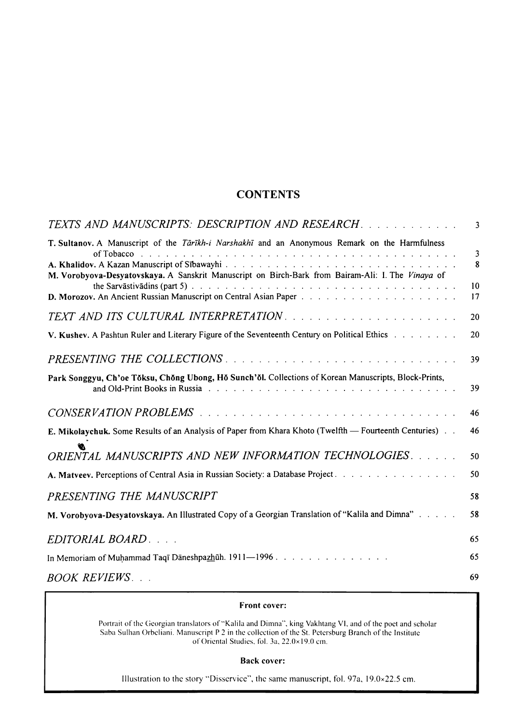## **CONTENTS**

| TEXTS AND MANUSCRIPTS: DESCRIPTION AND RESEARCH.                                                                                                                                                                                                                                                                                                                                                                                      | -3                                       |
|---------------------------------------------------------------------------------------------------------------------------------------------------------------------------------------------------------------------------------------------------------------------------------------------------------------------------------------------------------------------------------------------------------------------------------------|------------------------------------------|
| T. Sultanov. A Manuscript of the Tärikh-i Narshakhi and an Anonymous Remark on the Harmfulness<br>of Tobacco because the contract of the contract of the contract of the contract of the contract of the contract of the contract of the contract of the contract of the contract of the contract of the contract of the contrac<br>M. Vorobyova-Desyatovskaya. A Sanskrit Manuscript on Birch-Bark from Bairam-Ali: I. The Vinaya of | $\overline{\mathbf{3}}$<br>8<br>10<br>17 |
|                                                                                                                                                                                                                                                                                                                                                                                                                                       | 20                                       |
|                                                                                                                                                                                                                                                                                                                                                                                                                                       |                                          |
| V. Kushev. A Pashtun Ruler and Literary Figure of the Seventeenth Century on Political Ethics                                                                                                                                                                                                                                                                                                                                         | 20                                       |
| PRESENTING THE COLLECTIONS                                                                                                                                                                                                                                                                                                                                                                                                            | 39                                       |
| Park Songgyu, Ch'oe Tŏksu, Chŏng Ubong, Hŏ Sunch'ŏl. Collections of Korean Manuscripts, Block-Prints,                                                                                                                                                                                                                                                                                                                                 | 39                                       |
|                                                                                                                                                                                                                                                                                                                                                                                                                                       | 46                                       |
| E. Mikolaychuk. Some Results of an Analysis of Paper from Khara Khoto (Twelfth - Fourteenth Centuries)                                                                                                                                                                                                                                                                                                                                | 46                                       |
| ORIENTAL MANUSCRIPTS AND NEW INFORMATION TECHNOLOGIES.                                                                                                                                                                                                                                                                                                                                                                                | 50                                       |
| A. Matyeey, Perceptions of Central Asia in Russian Society: a Database Project.                                                                                                                                                                                                                                                                                                                                                       | 50                                       |
| PRESENTING THE MANUSCRIPT                                                                                                                                                                                                                                                                                                                                                                                                             | 58                                       |
| M. Vorobyova-Desyatovskaya. An Illustrated Copy of a Georgian Translation of "Kalila and Dimna"                                                                                                                                                                                                                                                                                                                                       | 58                                       |
| EDITORIAL BOARD                                                                                                                                                                                                                                                                                                                                                                                                                       | 65                                       |
| In Memoriam of Muhammad Taqī Dāneshpazhūh. 1911—1996                                                                                                                                                                                                                                                                                                                                                                                  | 65                                       |
| <i>BOOK REVIEWS</i>                                                                                                                                                                                                                                                                                                                                                                                                                   | 69                                       |

## Front cover:

Portrait of the Georgian translators of "Kalila and Dimna", king Vakhtang VI, and of the poet and scholar Saba Sulhan Orbeliani. Manuscript P 2 in the collection of the St. Petersburg Branch of the Institute of Oriental Studies. fol. 3a. 22.0x 19.0 cm.

## Back cover:

Illustration to the story "Disservice", the same manuscript. fol. 97a. J 9.0x22.5 cm.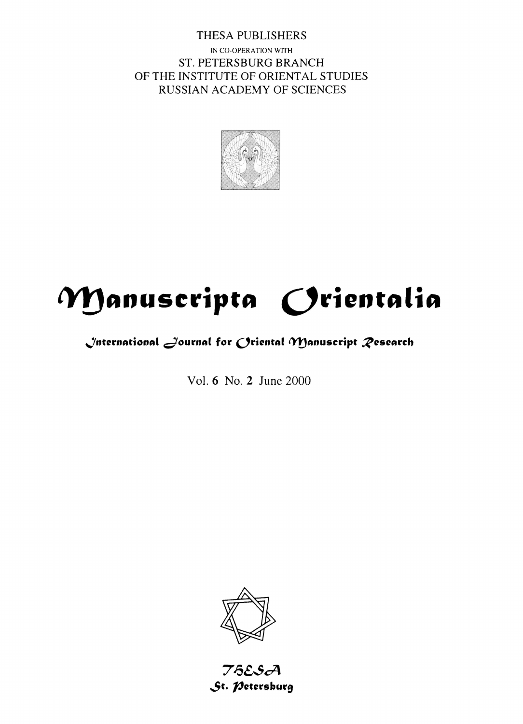THESA PUBLISHERS IN CO-OPERATION WITH ST. PETERSBURG BRANCH OF THE INSTITUTE OF ORIENTAL STUDIES RUSSIAN ACADEMY OF SCIENCES



# Manuscripta Orientalia

# $\bigcup$ nternational  $\bigcup$ ournal for  $\bigcap$ riental  $\gamma$ Manuscript  $\mathcal R$ esearch

Vol. 6 No. 2 June 2000



75ESA St. *Petersburg*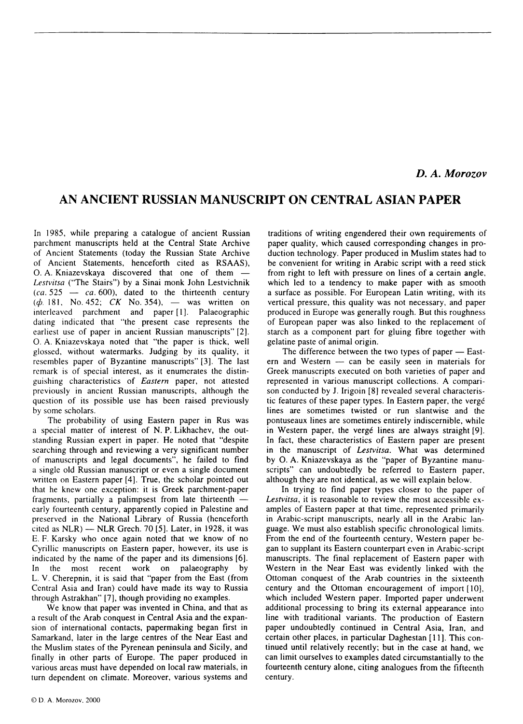### *D. A. Morozov*

## **AN ANCIENT RUSSIAN MANUSCRIPT ON CENTRAL ASIAN PAPER**

In 1985, while preparing a catalogue of ancient Russian parchment manuscripts held at the Central State Archive of Ancient Statements (today the Russian State Archive of Ancient Statements, henceforth cited as RSAAS), 0. A. Kniazevskaya discovered that one of them - *Lestvitsa* ("The Stairs") by a Sinai monk John Lestvichnik  $(ca. 525 - ca. 600), dated to the thirteenth century$ (*d*). 181, No. 452; CK No. 354), — was written on interleaved parchment and paper [ **l** ]. Palaeographic dating indicated that "the present case represents the earliest use of paper in ancient Russian manuscripts" [2]. 0. A. Kniazevskaya noted that "the paper is thick, well glossed, without watermarks. Judging by its quality, it resembles paper of Byzantine manuscripts" [3]. The last remark is of special interest, as it enumerates the distinguishing characteristics of *Eastern* paper, not attested previously in ancient Russian manuscripts, although the question of its possible use has been raised previously by some scholars.

The probability of using Eastern paper in Rus was a special matter of interest of N. P. Likhachev, the outstanding Russian expert in paper. He noted that "despite searching through and reviewing a very significant number of manuscripts and legal documents", he failed to find a single old Russian manuscript or even a single document written on Eastern paper [4]. True, the scholar pointed out that he knew one exception: it is Greek parchment-paper fragments, partially a palimpsest from late thirteenth  $$ early fourteenth century, apparently copied in Palestine and preserved in the National Library of Russia (henceforth cited as  $NLR$ ) — NLR Grech. 70 [5]. Later, in 1928, it was E. F. Karsky who once again noted that we know of no Cyrillic manuscripts on Eastern paper, however, its use is indicated by the name of the paper and its dimensions [6]. In the most recent work on palaeography by L. V. Cherepnin, it is said that "paper from the East (from Central Asia and Iran) could have made its way to Russia through Astrakhan" [7], though providing no examples.

We know that paper was invented in China, and that as a result of the Arab conquest in Central Asia and the expansion of international contacts, papermaking began first in Samarkand, later in the large centres of the Near East and the Muslim states of the Pyrenean peninsula and Sicily, and finally in other parts of Europe. The paper produced in various areas must have depended on local raw materials, in turn dependent on climate. Moreover, various systems and

traditions of writing engendered their own requirements of paper quality, which caused corresponding changes in production technology. Paper produced in Muslim states had to be convenient for writing in Arabic script with a reed stick from right to left with pressure on lines of a certain angle, which led to a tendency to make paper with as smooth a surface as possible. For European Latin writing, with its vertical pressure, this quality was not necessary, and paper produced in Europe was generally rough. But this roughness of European paper was also linked to the replacement of starch as a component part for gluing fibre together with gelatine paste of animal origin.

The difference between the two types of paper  $-$  Eastern and Western  $-$  can be easily seen in materials for Greek manuscripts executed on both varieties of paper and represented in various manuscript collections. A comparison conducted by J. Irigoin [8] revealed several characteristic features of these paper types. In Eastern paper, the verge lines are sometimes twisted or run slantwise and the pontuseaux lines are sometimes entirely indiscernible, while in Western paper, the verge lines are always straight [9]. In fact, these characteristics of Eastern paper are present in the manuscript of *Lestvitsa.* What was determined by 0. A. Kniazevskaya as the "paper of Byzantine manuscripts" can undoubtedly be referred to Eastern paper, although they are not identical, as we will explain below.

In trying to find paper types closer to the paper of *Lestvitsa,* it is reasonable to review the most accessible examples of Eastern paper at that time, represented primarily in Arabic-script manuscripts, nearly all in the Arabic language. We must also establish specific chronological limits. From the end of the fourteenth century, Western paper began to supplant its Eastern counterpart even in Arabic-script manuscripts. The final replacement of Eastern paper with Western in the Near East was evidently linked with the Ottoman conquest of the Arab countries in the sixteenth century and the Ottoman encouragement of import [ 10], which included Western paper. Imported paper underwent additional processing to bring its external appearance into line with traditional variants. The production of Eastern paper undoubtedly continued in Central Asia, Iran, and certain other places, in particular Daghestan [ 11 ]. This continued until relatively recently; but in the case at hand, we can limit ourselves to examples dated circumstantially to the fourteenth century alone, citing analogues from the fifteenth century.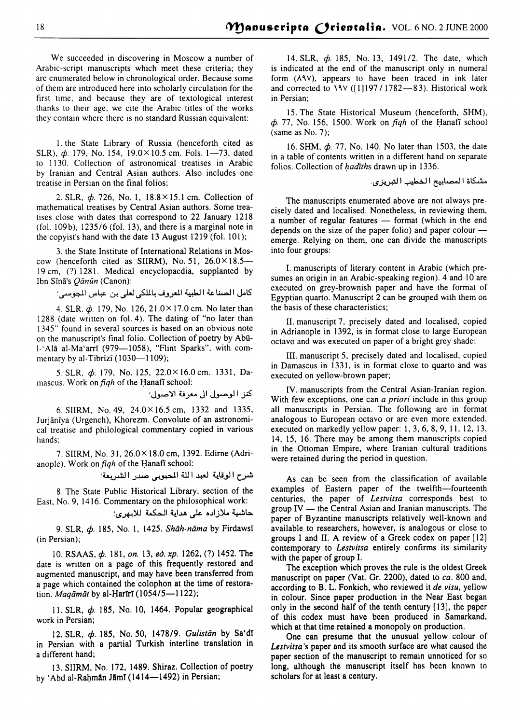We succeeded in discovering in Moscow a number of Arabic-script manuscripts which meet these criteria; they are enumerated below in chronological order. Because some of them are introduced here into scholarly circulation for the first time, and because they are of textological interest thanks to their age, we cite the Arabic titles of the works they contain where there is no standard Russian equivalent:

I. the State Library of Russia (henceforth cited as SLR),  $\phi$ . 179, No. 154, 19.0×10.5 cm. Fols. 1-73, dated to 1130. Collection of astronomical treatises in Arabic by Iranian and Central Asian authors. Also includes one treatise in Persian on the final folios;

2. SLR,  $\phi$ . 726, No. 1, 18.8×15.1 cm. Collection of mathematical treatises by Central Asian authors. Some treatises close with dates that correspond to 22 January 1218 (fol. 109b), 1235/6 (fol. 13), and there is a marginal note in the copyist's hand with the date 13 August 1219 (fol. 101);

3. the State Institute of International Relations in Moscow (henceforth cited as SIIRM), No. 51,  $26.0 \times 18.5-$ 19 cm, (?) 1281. Medical encyclopaedia, supplanted by Ibn Sīnā's Qānūn (Canon):

كامل الصناعة الطبية العروف بالملكي لعلى بن عباس الجوسي:

4. SLR,  $\phi$ . 179, No. 126, 21.0 × 17.0 cm. No later than 1288 (date written on fol. 4). The dating of "no later than 1345" found in several sources is based on an obvious note on the manuscript's final folio. Collection of poetry by Abū-1-'Alā al-Ma'arrī (979-1058), "Flint Sparks", with commentary by al-Tibrīzī  $(1030-1109)$ ;

5. SLR,  $\phi$ . 179, No. 125, 22.0×16.0cm. 1331, Damascus. Work on *figh* of the Hanafi school:

كنز الوصول الى معرفة الاصول؛

6. SIIRM, No. 49, 24.0X 16.5 cm, 1332 and 1335, Jurjaniya (Urgench), Khorezm. Convolute of an astronomical treatise and philological commentary copied in various hands;

7. SIIRM, No. 31, 26.0 x 18.0 cm, 1392. Edirne (Adrianople). Work on *figh* of the Hanafi school:

شرح الوقاية لعبد اللة المحبوبي صدر الشريعة؛

8. The State Public Historical Library, section of the East, No. 9, 1416. Commentary on the philosophical work:

حاشية ملازاده على هداية الحكمة للابهري؛

9. SLR,  $\phi$ . 185, No. 1, 1425. *Shāh-nāma* by FirdawsT (in Persian);

10. RSAAS,  $\phi$ . 181, *on.* 13, *ed. xp.* 1262, (?) 1452. The date is written on a page of this frequently restored and augmented manuscript, and may have been transferred from a page which contained the colophon at the time of restoration. *Magamat* by al-HarIrI (1054/5-1122);

11. SLR,  $\phi$ . 185, No. 10, 1464. Popular geographical work in Persian;

12. SLR,  $\phi$ . 185, No. 50, 1478/9. *Gulistan* by Sa'dī in Persian with a partial Turkish interline translation in a different hand;

13. SIIRM, No. 172, 1489. Shiraz. Collection of poetry by 'Abd al-Rahmān Jāmī (1414—1492) in Persian;

14. SLR,  $\phi$ . 185, No. 13, 1491/2. The date, which is indicated at the end of the manuscript only in numeral form  $(\wedge \wedge \vee)$ , appears to have been traced in ink later and corrected to  $\sqrt{(\frac{1}{197} / 1782 - 83)}$ . Historical work in Persian;

15. The State Historical Museum (henceforth, SHM),  $\phi$ . 77, No. 156, 1500. Work on *fiqh* of the Hanafi school (same as No. 7);

16. SHM,  $\phi$ . 77, No. 140. No later than 1503, the date in a table of contents written in a different hand on separate folios. Collection of  $hadiths$  drawn up in 1336.

مشكاة المصابيح الخطيب التبريزي.

The manuscripts enumerated above are not always precisely dated and localised. Nonetheless, in reviewing them, a number of regular features - format (which in the end depends on the size of the paper folio) and paper colour  $$ emerge. Relying on them, one can divide the manuscripts into four groups:

I. manuscripts of literary content in Arabic (which presumes an origin in an Arabic-speaking region). 4 and 10 are executed on grey-brownish paper and have the format of Egyptian quarto. Manuscript 2 can be grouped with them on the basis of these characteristics;

II. manuscript 7, precisely dated and localised, copied in Adrianople in 1392, is in format close to large European octavo and was executed on paper of a bright grey shade;

III. manuscript *5,* precisely dated and localised, copied in Damascus in 1331, is in format close to quarto and was executed on yellow-brown paper;

IV. manuscripts from the Central Asian-Iranian region. With few exceptions, one can *a priori* include in this group all manuscripts in Persian. The following are in format analogous to European octavo or are even more extended, executed on markedly yellow paper: I, 3, 6, 8, 9, 11, 12, 13, 14, 15, 16. There may be among them manuscripts copied in the Ottoman Empire, where Iranian cultural traditions were retained during the period in question.

As can be seen from the classification of available examples of Eastern paper of the twelfth-fourteenth centuries, the paper of *Lestvitsa* corresponds best to group  $IV$  — the Central Asian and Iranian manuscripts. The paper of Byzantine manuscripts relatively well-known and available to researchers, however, is analogous or close to groups I and II. A review of a Greek codex on paper [ 12] contemporary to *Lestvitsa* entirely confirms its similarity with the paper of group I.

The exception which proves the rule is the oldest Greek manuscript on paper (Vat. Gr. 2200), dated to *ca.* 800 and, according to B. L. Fonkich, who reviewed it *de visu,* yellow in colour. Since paper production in the Near East began only in the second half of the tenth century (13], the paper of this codex must have been produced in Samarkand, which at that time retained a monopoly on production.

One can presume that the unusual yellow colour of *Lestvitsa* 's paper and its smooth surface are what caused the paper section of the manuscript to remain unnoticed for so long, although the manuscript itself has been known to scholars for at least a century.